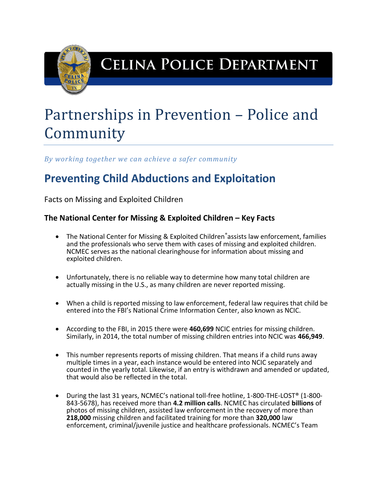

## **CELINA POLICE DEPARTMENT**

# Partnerships in Prevention – Police and Community

*By working together we can achieve a safer community*

## **Preventing Child Abductions and Exploitation**

Facts on Missing and Exploited Children

### **The National Center for Missing & Exploited Children – Key Facts**

- The National Center for Missing & Exploited Children®assists law enforcement, families and the professionals who serve them with cases of missing and exploited children. NCMEC serves as the national clearinghouse for information about missing and exploited children.
- Unfortunately, there is no reliable way to determine how many total children are actually missing in the U.S., as many children are never reported missing.
- When a child is reported missing to law enforcement, federal law requires that child be entered into the FBI's National Crime Information Center, also known as NCIC.
- According to the FBI, in 2015 there were **460,699** NCIC entries for missing children. Similarly, in 2014, the total number of missing children entries into NCIC was **466,949**.
- This number represents reports of missing children. That means if a child runs away multiple times in a year, each instance would be entered into NCIC separately and counted in the yearly total. Likewise, if an entry is withdrawn and amended or updated, that would also be reflected in the total.
- During the last 31 years, NCMEC's national toll-free hotline, 1-800-THE-LOST® (1-800- 843-5678), has received more than **4.2 million calls**. NCMEC has circulated **billions** of photos of missing children, assisted law enforcement in the recovery of more than **218,000** missing children and facilitated training for more than **320,000** law enforcement, criminal/juvenile justice and healthcare professionals. NCMEC's Team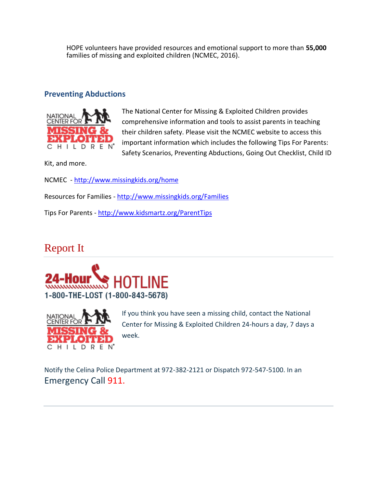HOPE volunteers have provided resources and emotional support to more than **55,000** families of missing and exploited children (NCMEC, 2016).

#### **Preventing Abductions**



The National Center for Missing & Exploited Children provides comprehensive information and tools to assist parents in teaching their children safety. Please visit the NCMEC website to access this important information which includes the following Tips For Parents: Safety Scenarios, Preventing Abductions, Going Out Checklist, Child ID

Kit, and more.

NCMEC - <http://www.missingkids.org/home>

Resources for Families - <http://www.missingkids.org/Families>

Tips For Parents - <http://www.kidsmartz.org/ParentTips>

### Report It





If you think you have seen a missing child, contact the National Center for Missing & Exploited Children 24-hours a day, 7 days a week.

Notify the Celina Police Department at 972-382-2121 or Dispatch 972-547-5100. In an Emergency Call 911.